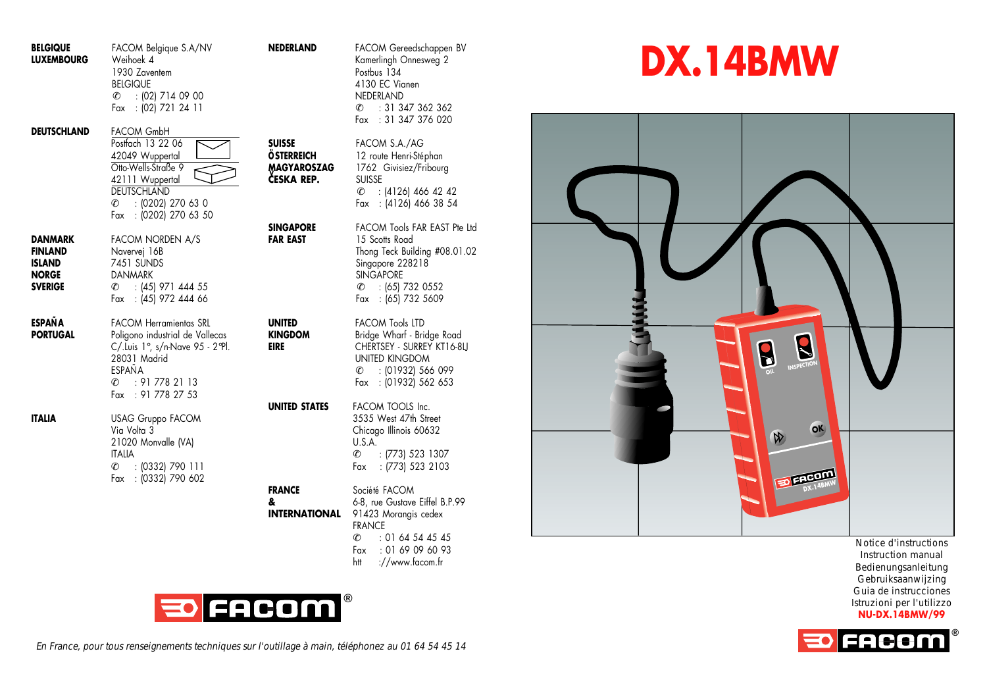| <b>BELGIQUE</b><br><b>LUXEMBOURG</b>                                         | FACOM Belgique S.A/NV<br>Weihoek 4<br>1930 Zaventem<br><b>BELGIQUE</b><br>$\mathcal{C}$<br>$: [02]$ 714 09 00<br>Fax : (02) 721 24 11                                   | <b>NEDERLAND</b>                                                       | FACOM Gereedschappen BV<br>Kamerlingh Onnesweg 2<br>Postbus 134<br>4130 EC Vianen<br>NEDERLAND<br>: 31 347 362 362<br>l-<br>: 31 347 376 020<br>Fax                          |
|------------------------------------------------------------------------------|-------------------------------------------------------------------------------------------------------------------------------------------------------------------------|------------------------------------------------------------------------|------------------------------------------------------------------------------------------------------------------------------------------------------------------------------|
| <b>DEUTSCHLAND</b>                                                           | <b>FACOM GmbH</b><br>Postfach 13 22 06<br>42049 Wuppertal<br>Otto-Wells-Straße 9<br>42111 Wuppertal<br>DEUTSCHLAND<br>: (0202) 270 63 0<br>c.<br>Fax : (0202) 270 63 50 | <b>SUISSE</b><br><b>ÖSTERREICH</b><br><b>MAGYAROSZAG</b><br>ČESKA REP. | FACOM S.A./AG<br>12 route Henri-Stéphan<br>1762 Givisiez/Fribourg<br><b>SUISSE</b><br>$\mathcal{L}$ : (4126) 466 42 42<br>Fax: (4126) 466 38 54                              |
| DANMARK<br><b>FINLAND</b><br><b>ISLAND</b><br><b>NORGE</b><br><b>SVERIGE</b> | FACOM NORDEN A/S<br>Navervej 16B<br>7451 SUNDS<br><b>DANMARK</b><br>$C = 145$ 971 444 55<br>Fax : (45) 972 444 66                                                       | <b>SINGAPORE</b><br><b>FAR EAST</b>                                    | <b>FACOM Tools FAR EAST Pte I</b><br>15 Scotts Road<br>Thong Teck Building #08.01.<br>Singapore 228218<br><b>SINGAPORE</b><br>$: (65)$ 732 0552<br>e.<br>Fax : (65) 732 5609 |
| <b>ESPAÑA</b><br><b>PORTUGAL</b>                                             | <b>FACOM Herramientas SRL</b><br>Poligono industrial de Vallecas<br>C/.Luis 1°, s/n-Nave 95 - 2°Pl.<br>28031 Madrid<br>ESPAÑA<br>: 917782113<br>l-<br>Fax: 91 778 27 53 | UNITED<br><b>KINGDOM</b><br>EIRE                                       | <b>FACOM Tools LTD</b><br>Bridge Wharf - Bridge Road<br>CHERTSEY - SURREY KT16-8LI<br><b>UNITED KINGDOM</b><br>: (01932) 566 099<br>c.<br>Fax : (01932) 562 653              |
| <b>ITALIA</b>                                                                | USAG Gruppo FACOM<br>Via Volta 3<br>21020 Monvalle (VA)<br><b>ITALIA</b><br>$: (0332)$ 790 111<br>c.<br>Fax : (0332) 790 602                                            | UNITED STATES                                                          | FACOM TOOLS Inc.<br>3535 West 47th Street<br>Chicago Illinois 60632<br>U.S.A.<br>$\mathcal{C}$<br>: (773) 523 1307<br>: (773) 523 2103<br>Fax                                |
|                                                                              |                                                                                                                                                                         | <b>FRANCE</b><br>&<br><b>INTERNATIONAL</b>                             | Société FACOM<br>6-8, rue Gustave Eiffel B.P.99<br>91423 Morangis cedex<br><b>FRANCE</b><br>: 01 64 54 45 45<br>l.<br>: 0169096093<br>Fax<br>://www.facom.fr<br>htt          |



**ACOM Tools FAR EAST Pte Ltd** 15 Scotts Road Thong Teck Building #08.01.02 Singapore 228218 **SINGAPORE**  $C$  : (65) 732 0552 Fax : (65) 732 5609

## **DX.14BMW**



Notice d'instructions Instruction manual Bedienungsanleitung Gebruiksaanwijzing Guia de instrucciones Istruzioni per l'utilizzo **NU-DX.14BMW/99**



En France, pour tous renseignements techniques sur l'outillage à main, téléphonez au 01 64 54 45 14